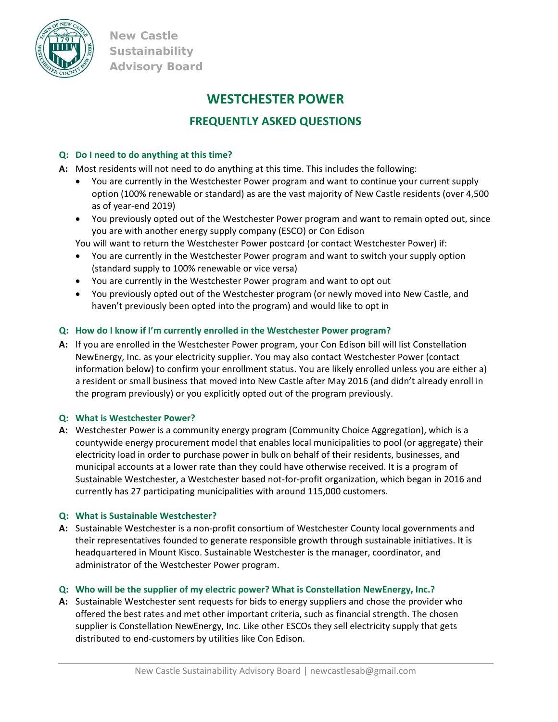

**New Castle Sustainability Advisory Board** 

# **WESTCHESTER POWER**

## **FREQUENTLY ASKED QUESTIONS**

## **Q: Do I need to do anything at this time?**

- **A:**  Most residents will not need to do anything at this time. This includes the following:
	- You are currently in the Westchester Power program and want to continue your current supply option (100% renewable or standard) as are the vast majority of New Castle residents (over 4,500 as of year‐end 2019)
	- You previously opted out of the Westchester Power program and want to remain opted out, since you are with another energy supply company (ESCO) or Con Edison

You will want to return the Westchester Power postcard (or contact Westchester Power) if:

- You are currently in the Westchester Power program and want to switch your supply option (standard supply to 100% renewable or vice versa)
- You are currently in the Westchester Power program and want to opt out
- You previously opted out of the Westchester program (or newly moved into New Castle, and haven't previously been opted into the program) and would like to opt in

## **Q: How do I know if I'm currently enrolled in the Westchester Power program?**

**A:**  If you are enrolled in the Westchester Power program, your Con Edison bill will list Constellation NewEnergy, Inc. as your electricity supplier. You may also contact Westchester Power (contact information below) to confirm your enrollment status. You are likely enrolled unless you are either a) a resident or small business that moved into New Castle after May 2016 (and didn't already enroll in the program previously) or you explicitly opted out of the program previously.

## **Q: What is Westchester Power?**

**A:** Westchester Power is a community energy program (Community Choice Aggregation), which is a countywide energy procurement model that enables local municipalities to pool (or aggregate) their electricity load in order to purchase power in bulk on behalf of their residents, businesses, and municipal accounts at a lower rate than they could have otherwise received. It is a program of Sustainable Westchester, a Westchester based not‐for‐profit organization, which began in 2016 and currently has 27 participating municipalities with around 115,000 customers.

## **Q: What is Sustainable Westchester?**

A: Sustainable Westchester is a non-profit consortium of Westchester County local governments and their representatives founded to generate responsible growth through sustainable initiatives. It is headquartered in Mount Kisco. Sustainable Westchester is the manager, coordinator, and administrator of the Westchester Power program.

## **Q: Who will be the supplier of my electric power? What is Constellation NewEnergy, Inc.?**

**A:** Sustainable Westchester sent requests for bids to energy suppliers and chose the provider who offered the best rates and met other important criteria, such as financial strength. The chosen supplier is Constellation NewEnergy, Inc. Like other ESCOs they sell electricity supply that gets distributed to end‐customers by utilities like Con Edison.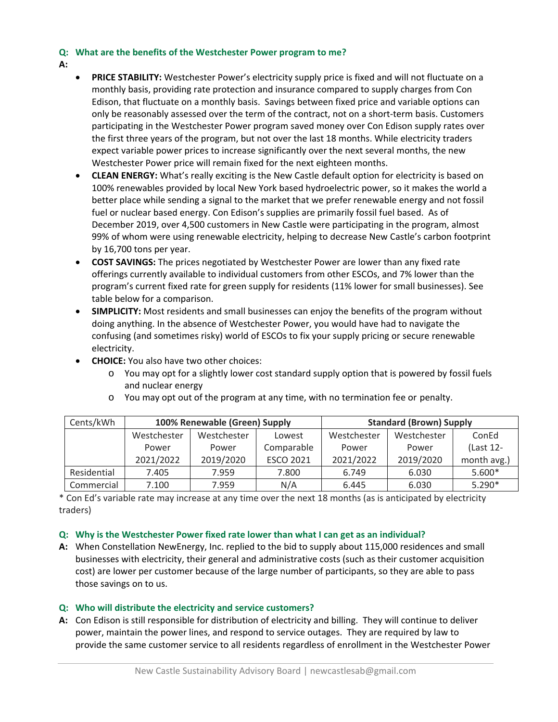### **Q: What are the benefits of the Westchester Power program to me?**

- **A:**
- **PRICE STABILITY:** Westchester Power's electricity supply price is fixed and will not fluctuate on a monthly basis, providing rate protection and insurance compared to supply charges from Con Edison, that fluctuate on a monthly basis. Savings between fixed price and variable options can only be reasonably assessed over the term of the contract, not on a short-term basis. Customers participating in the Westchester Power program saved money over Con Edison supply rates over the first three years of the program, but not over the last 18 months. While electricity traders expect variable power prices to increase significantly over the next several months, the new Westchester Power price will remain fixed for the next eighteen months.
- **CLEAN ENERGY:** What's really exciting is the New Castle default option for electricity is based on 100% renewables provided by local New York based hydroelectric power, so it makes the world a better place while sending a signal to the market that we prefer renewable energy and not fossil fuel or nuclear based energy. Con Edison's supplies are primarily fossil fuel based. As of December 2019, over 4,500 customers in New Castle were participating in the program, almost 99% of whom were using renewable electricity, helping to decrease New Castle's carbon footprint by 16,700 tons per year.
- **COST SAVINGS:** The prices negotiated by Westchester Power are lower than any fixed rate offerings currently available to individual customers from other ESCOs, and 7% lower than the program's current fixed rate for green supply for residents (11% lower for small businesses). See table below for a comparison.
- **SIMPLICITY:** Most residents and small businesses can enjoy the benefits of the program without doing anything. In the absence of Westchester Power, you would have had to navigate the confusing (and sometimes risky) world of ESCOs to fix your supply pricing or secure renewable electricity.
- **CHOICE:** You also have two other choices:
	- o You may opt for a slightly lower cost standard supply option that is powered by fossil fuels and nuclear energy

| Cents/kWh   | 100% Renewable (Green) Supply |             |                  | <b>Standard (Brown) Supply</b> |             |             |
|-------------|-------------------------------|-------------|------------------|--------------------------------|-------------|-------------|
|             | Westchester                   | Westchester | Lowest           | Westchester                    | Westchester | ConEd       |
|             | Power                         | Power       | Comparable       | Power                          | Power       | (Last 12-   |
|             | 2021/2022                     | 2019/2020   | <b>ESCO 2021</b> | 2021/2022                      | 2019/2020   | month avg.) |
| Residential | 7.405                         | 7.959       | 7.800            | 6.749                          | 6.030       | $5.600*$    |
| Commercial  | 7.100                         | 7.959       | N/A              | 6.445                          | 6.030       | $5.290*$    |

 $\circ$  You may opt out of the program at any time, with no termination fee or penalty.

\* Con Ed's variable rate may increase at any time over the next 18 months (as is anticipated by electricity traders)

#### **Q: Why is the Westchester Power fixed rate lower than what I can get as an individual?**

**A:**  When Constellation NewEnergy, Inc. replied to the bid to supply about 115,000 residences and small businesses with electricity, their general and administrative costs (such as their customer acquisition cost) are lower per customer because of the large number of participants, so they are able to pass those savings on to us.

#### **Q: Who will distribute the electricity and service customers?**

**A:**  Con Edison is still responsible for distribution of electricity and billing. They will continue to deliver power, maintain the power lines, and respond to service outages. They are required by law to provide the same customer service to all residents regardless of enrollment in the Westchester Power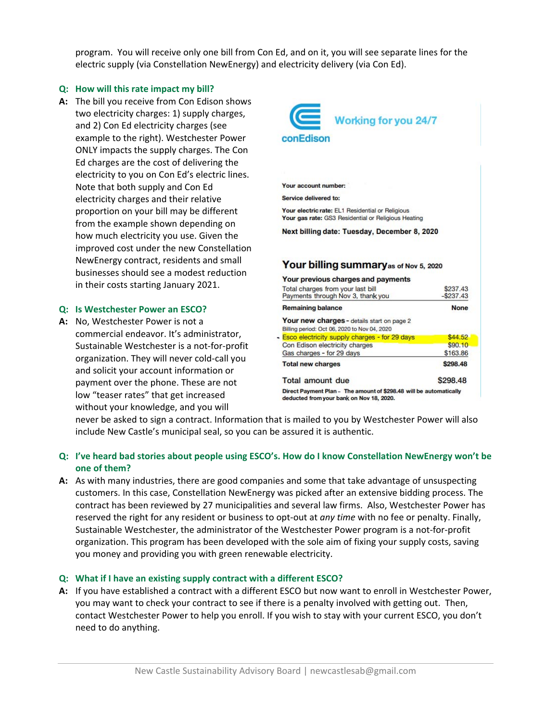program. You will receive only one bill from Con Ed, and on it, you will see separate lines for the electric supply (via Constellation NewEnergy) and electricity delivery (via Con Ed).

### **Q: How will this rate impact my bill?**

A: The bill you receive from Con Edison shows two electricity charges: 1) supply charges, and 2) Con Ed electricity charges (see example to the right). Westchester Power ONLY impacts the supply charges. The Con Ed charges are the cost of delivering the electricity to you on Con Ed's electric lines. Note that both supply and Con Ed electricity charges and their relative proportion on your bill may be different from the example shown depending on how much electricity you use. Given the improved cost under the new Constellation NewEnergy contract, residents and small businesses should see a modest reduction in their costs starting January 2021.

#### **Q: Is Westchester Power an ESCO?**

A: No, Westchester Power is not a commercial endeavor. It's administrator, Sustainable Westchester is a not‐for‐profit organization. They will never cold‐call you and solicit your account information or payment over the phone. These are not low "teaser rates" that get increased without your knowledge, and you will



| <b>TOUT New Charges - Getails start on page 2</b><br>Billing period: Oct 06, 2020 to Nov 04, 2020              |          |  |
|----------------------------------------------------------------------------------------------------------------|----------|--|
|                                                                                                                |          |  |
| <b>Esco electricity supply charges - for 29 days</b>                                                           | \$44.52  |  |
| Con Edison electricity charges                                                                                 | \$90.10  |  |
| Gas charges - for 29 days                                                                                      | \$163.86 |  |
| <b>Total new charges</b>                                                                                       | \$298.48 |  |
| <b>Total amount due</b>                                                                                        | \$298.48 |  |
| Direct Payment Plan - The amount of \$298.48 will be automatically<br>deducted from your bank on Nov 18, 2020. |          |  |

never be asked to sign a contract. Information that is mailed to you by Westchester Power will also include New Castle's municipal seal, so you can be assured it is authentic.

## **Q: I've heard bad stories about people using ESCO's. How do I know Constellation NewEnergy won't be one of them?**

**A:**  As with many industries, there are good companies and some that take advantage of unsuspecting customers. In this case, Constellation NewEnergy was picked after an extensive bidding process. The contract has been reviewed by 27 municipalities and several law firms. Also, Westchester Power has reserved the right for any resident or business to opt‐out at *any time* with no fee or penalty. Finally, Sustainable Westchester, the administrator of the Westchester Power program is a not‐for‐profit organization. This program has been developed with the sole aim of fixing your supply costs, saving you money and providing you with green renewable electricity.

#### **Q: What if I have an existing supply contract with a different ESCO?**

**A:**  If you have established a contract with a different ESCO but now want to enroll in Westchester Power, you may want to check your contract to see if there is a penalty involved with getting out. Then, contact Westchester Power to help you enroll. If you wish to stay with your current ESCO, you don't need to do anything.